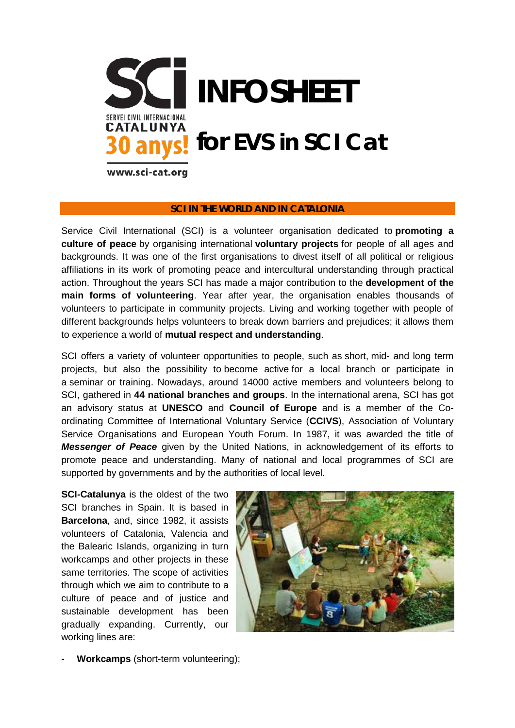

## **SCI IN THE WORLD AND IN CATALONIA**

Service Civil International (SCI) is a volunteer organisation dedicated to **promoting a culture of peace** by organising international **voluntary projects** for people of all ages and backgrounds. It was one of the first organisations to divest itself of all political or religious affiliations in its work of promoting peace and intercultural understanding through practical action. Throughout the years SCI has made a major contribution to the **development of the main forms of volunteering**. Year after year, the organisation enables thousands of volunteers to participate in community projects. Living and working together with people of different backgrounds helps volunteers to break down barriers and prejudices; it allows them to experience a world of **mutual respect and understanding**.

SCI offers a variety of volunteer opportunities to people, such as short, mid- [and long term](http://www.sciint.org/index.php/learn-about-sci/what-we-do/voluntary-projects)  [projects,](http://www.sciint.org/index.php/learn-about-sci/what-we-do/voluntary-projects) but also the possibility to [become active](http://www.sciint.org/index.php/support-sci/become-active) for a local branch or participate in a [seminar or training.](http://www.sciint.org/index.php/learn-about-sci/what-we-do/non-formal-education) Nowadays, around 14000 active members and volunteers belong to SCI, gathered in **44 national branches and groups**. In the international arena, SCI has got an advisory status at **UNESCO** and **Council of Europe** and is a member of the Coordinating Committee of International Voluntary Service (**CCIVS**), Association of Voluntary Service Organisations and European Youth Forum. In 1987, it was awarded the title of *Messenger of Peace* given by the United Nations, in acknowledgement of its efforts to promote peace and understanding. Many of national and local programmes of SCI are supported by governments and by the authorities of local level.

**SCI-Catalunya** is the oldest of the two SCI branches in Spain. It is based in **Barcelona**, and, since 1982, it assists volunteers of Catalonia, Valencia and the Balearic Islands, organizing in turn workcamps and other projects in these same territories. The scope of activities through which we aim to contribute to a culture of peace and of justice and sustainable development has been gradually expanding. Currently, our working lines are:



**- Workcamps** (short-term volunteering);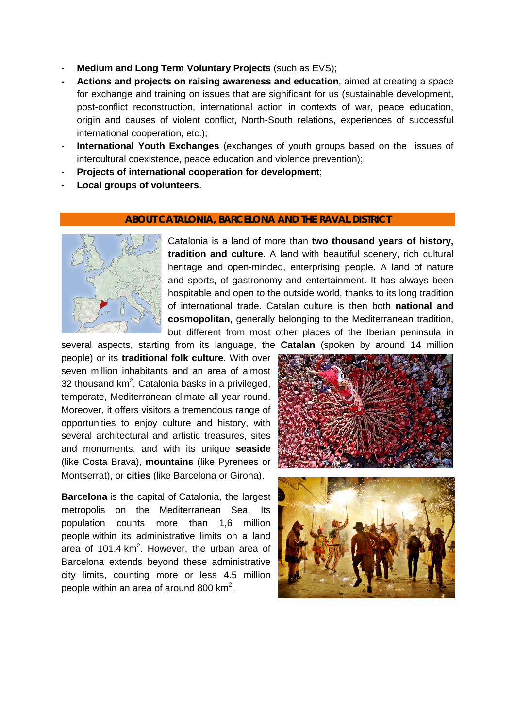- **- Medium and Long Term Voluntary Projects** (such as EVS);
- **- Actions and projects on raising awareness and education**, aimed at creating a space for exchange and training on issues that are significant for us (sustainable development, post-conflict reconstruction, international action in contexts of war, peace education, origin and causes of violent conflict, North-South relations, experiences of successful international cooperation, etc.);
- **- International Youth Exchanges** (exchanges of youth groups based on the issues of intercultural coexistence, peace education and violence prevention);
- **- Projects of international cooperation for development**;
- **- Local groups of volunteers**.

## **ABOUT CATALONIA, BARCELONA AND THE RAVAL DISTRICT**



Catalonia is a land of more than **two thousand years of history, tradition and culture**. A land with beautiful scenery, rich cultural heritage and open-minded, enterprising people. A land of nature and sports, of gastronomy and entertainment. It has always been hospitable and open to the outside world, thanks to its long tradition of international trade. Catalan culture is then both **national and cosmopolitan**, generally belonging to the Mediterranean tradition, but different from most other places of the Iberian peninsula in

several aspects, starting from its language, the **Catalan** (spoken by around 14 million people) or its **traditional folk culture**. With over seven million inhabitants and an area of almost 32 thousand km<sup>2</sup>, Catalonia basks in a privileged, temperate, Mediterranean climate all year round. Moreover, it offers visitors a tremendous range of opportunities to enjoy culture and history, with several architectural and artistic treasures, sites and monuments, and with its unique **seaside** (like Costa Brava), **mountains** (like Pyrenees or Montserrat), or **cities** (like Barcelona or Girona).

**Barcelona** is the capital of [Catalonia,](https://en.wikipedia.org/wiki/Catalonia) the largest metropolis on the [Mediterranean Sea.](https://en.wikipedia.org/wiki/Mediterranean_Sea) Its population counts more than 1,6 million people within its administrative limits on a land area of 101.4  $km^2$ . However, the urban area of Barcelona extends beyond these administrative city limits, counting more or less 4.5 million people within an area of around 800  $km^2$ .

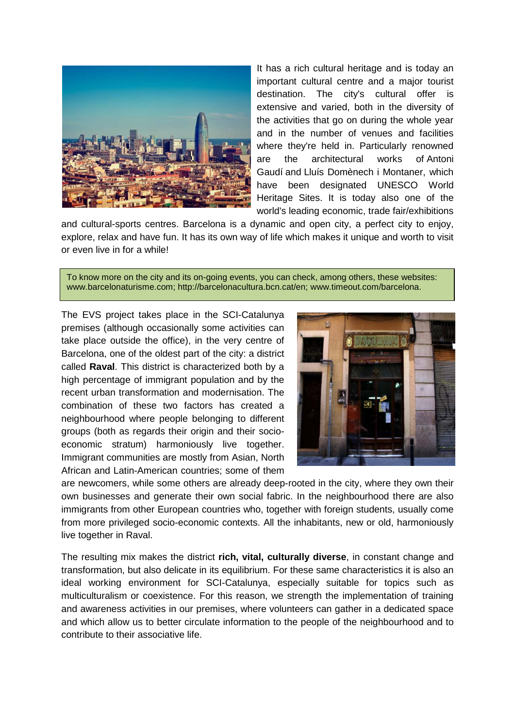

It has a rich cultural heritage and is today an important cultural centre and a major tourist destination. The city's cultural offer is extensive and varied, both in the diversity of the activities that go on during the whole year and in the number of venues and facilities where they're held in. Particularly renowned are the architectural works of [Antoni](https://en.wikipedia.org/wiki/Antoni_Gaud%C3%AD)  [Gaudí](https://en.wikipedia.org/wiki/Antoni_Gaud%C3%AD) and [Lluís Domènech i Montaner,](https://en.wikipedia.org/wiki/Llu%C3%ADs_Dom%C3%A8nech_i_Montaner) which have been designated UNESCO [World](https://en.wikipedia.org/wiki/World_Heritage_Site)  [Heritage Sites.](https://en.wikipedia.org/wiki/World_Heritage_Site) It is today also one of the world's leading economic, trade fair/exhibitions

and cultural-sports centres. Barcelona is a dynamic and open city, a perfect city to enjoy, explore, relax and have fun. It has its own way of life which makes it unique and worth to visit or even live in for a while!

To know more on the city and its on-going events, you can check, among others, these websites: www.barcelonaturisme.com; [http://barcelonacultura.bcn.cat/en;](http://barcelonacultura.bcn.cat/en) [www.timeout.com/barcelona.](http://www.timeout.com/barcelona)

The EVS project takes place in the SCI-Catalunya premises (although occasionally some activities can take place outside the office), in the very centre of Barcelona, one of the oldest part of the city: a district called **Raval**. This district is characterized both by a high percentage of immigrant population and by the recent urban transformation and modernisation. The combination of these two factors has created a neighbourhood where people belonging to different groups (both as regards their origin and their socioeconomic stratum) harmoniously live together. Immigrant communities are mostly from Asian, North African and Latin-American countries; some of them



are newcomers, while some others are already deep-rooted in the city, where they own their own businesses and generate their own social fabric. In the neighbourhood there are also immigrants from other European countries who, together with foreign students, usually come from more privileged socio-economic contexts. All the inhabitants, new or old, harmoniously live together in Raval.

The resulting mix makes the district **rich, vital, culturally diverse**, in constant change and transformation, but also delicate in its equilibrium. For these same characteristics it is also an ideal working environment for SCI-Catalunya, especially suitable for topics such as multiculturalism or coexistence. For this reason, we strength the implementation of training and awareness activities in our premises, where volunteers can gather in a dedicated space and which allow us to better circulate information to the people of the neighbourhood and to contribute to their associative life.